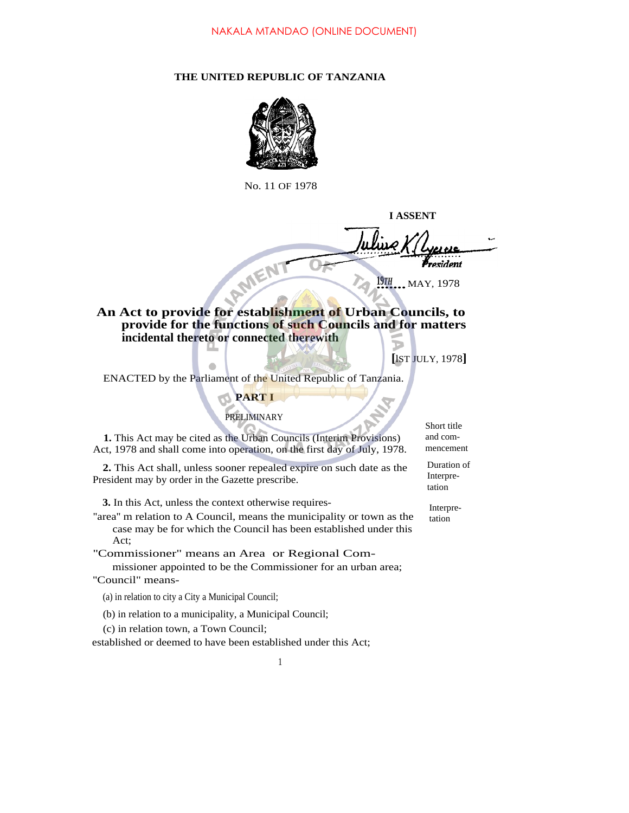### **THE UNITED REPUBLIC OF TANZANIA**



No. 11 OF 1978

**I ASSENT President** 

**1978**<br>•••••••••• MAY, 1978

**An Act to provide for establishment of Urban Councils, to provide for the functions of such Councils and for matters incidental thereto or connected therewith**

**[**lST JULY, 1978**]**

ENACTED by the Parliament of the United Republic of Tanzania.

## **PART I**

## PRELIMINARY

**1.** This Act may be cited as the Urban Councils (Interim Provisions) Act, 1978 and shall come into operation, on the first day of July, 1978.

**2.** This Act shall, unless sooner repealed expire on such date as the President may by order in the Gazette prescribe.

**3.** In this Act, unless the context otherwise requires-

''area'' m relation to A Council, means the municipality or town as the case may be for which the Council has been established under this Act;

''Commissioner" means an Area or Regional Com-

missioner appointed to be the Commissioner for an urban area; "Council" means-

(a) in relation to city a City a Municipal Council;

(b) in relation to a municipality, a Municipal Council;

(c) in relation town, a Town Council;

established or deemed to have been established under this Act;

Short title and commencement

Duration of Interpretation

Interpretation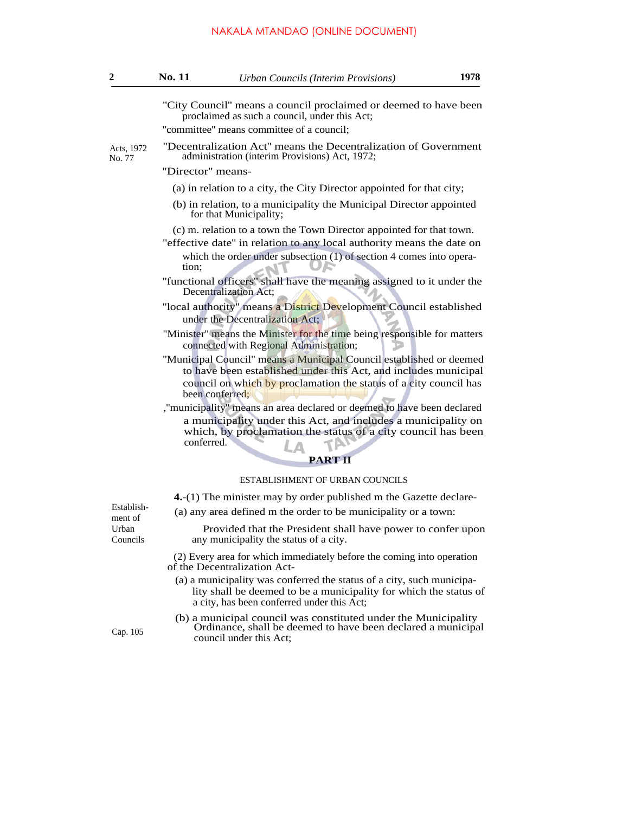| 2                                          | <b>No. 11</b>                                                                                                                          | <b>Urban Councils (Interim Provisions)</b>                                                                                                                                                              | 1978 |  |  |
|--------------------------------------------|----------------------------------------------------------------------------------------------------------------------------------------|---------------------------------------------------------------------------------------------------------------------------------------------------------------------------------------------------------|------|--|--|
|                                            |                                                                                                                                        | "City Council" means a council proclaimed or deemed to have been<br>proclaimed as such a council, under this Act;                                                                                       |      |  |  |
|                                            | "committee" means committee of a council;                                                                                              |                                                                                                                                                                                                         |      |  |  |
| Acts, 1972<br>No. 77                       | "Decentralization Act" means the Decentralization of Government<br>administration (interim Provisions) Act, 1972;                      |                                                                                                                                                                                                         |      |  |  |
|                                            | "Director" means-                                                                                                                      |                                                                                                                                                                                                         |      |  |  |
|                                            | (a) in relation to a city, the City Director appointed for that city;                                                                  |                                                                                                                                                                                                         |      |  |  |
|                                            |                                                                                                                                        | (b) in relation, to a municipality the Municipal Director appointed<br>for that Municipality;                                                                                                           |      |  |  |
|                                            |                                                                                                                                        | (c) m. relation to a town the Town Director appointed for that town.                                                                                                                                    |      |  |  |
|                                            |                                                                                                                                        | "effective date" in relation to any local authority means the date on                                                                                                                                   |      |  |  |
|                                            | tion;                                                                                                                                  | which the order under subsection $(1)$ of section 4 comes into opera-                                                                                                                                   |      |  |  |
|                                            |                                                                                                                                        | "functional officers" shall have the meaning assigned to it under the<br>Decentralization Act;                                                                                                          |      |  |  |
|                                            |                                                                                                                                        | "local authority" means a District Development Council established<br>under the Decentralization Act;                                                                                                   |      |  |  |
|                                            |                                                                                                                                        | "Minister" means the Minister for the time being responsible for matters<br>connected with Regional Administration;                                                                                     |      |  |  |
|                                            | "Municipal Council" means a Municipal Council established or deemed<br>to have been established under this Act, and includes municipal |                                                                                                                                                                                                         |      |  |  |
|                                            | been conferred:                                                                                                                        | council on which by proclamation the status of a city council has                                                                                                                                       |      |  |  |
|                                            | conferred.                                                                                                                             | ,"municipality" means an area declared or deemed to have been declared<br>a municipality under this Act, and includes a municipality on<br>which, by proclamation the status of a city council has been |      |  |  |
|                                            |                                                                                                                                        | <b>PART II</b>                                                                                                                                                                                          |      |  |  |
|                                            |                                                                                                                                        | ESTABLISHMENT OF URBAN COUNCILS                                                                                                                                                                         |      |  |  |
|                                            |                                                                                                                                        |                                                                                                                                                                                                         |      |  |  |
| Establish-<br>ment of<br>Urban<br>Councils |                                                                                                                                        | 4. (1) The minister may by order published m the Gazette declare-                                                                                                                                       |      |  |  |
|                                            |                                                                                                                                        | (a) any area defined m the order to be municipality or a town:                                                                                                                                          |      |  |  |
|                                            |                                                                                                                                        | Provided that the President shall have power to confer upon<br>any municipality the status of a city.                                                                                                   |      |  |  |
|                                            |                                                                                                                                        | (2) Every area for which immediately before the coming into operation<br>of the Decentralization Act-                                                                                                   |      |  |  |
|                                            |                                                                                                                                        | (a) a municipality was conferred the status of a city, such municipa-<br>lity shall be deemed to be a municipality for which the status of<br>a city, has been conferred under this Act;                |      |  |  |
| Cap. 105                                   |                                                                                                                                        | (b) a municipal council was constituted under the Municipality<br>Ordinance, shall be deemed to have been declared a municipal<br>council under this Act;                                               |      |  |  |
|                                            |                                                                                                                                        |                                                                                                                                                                                                         |      |  |  |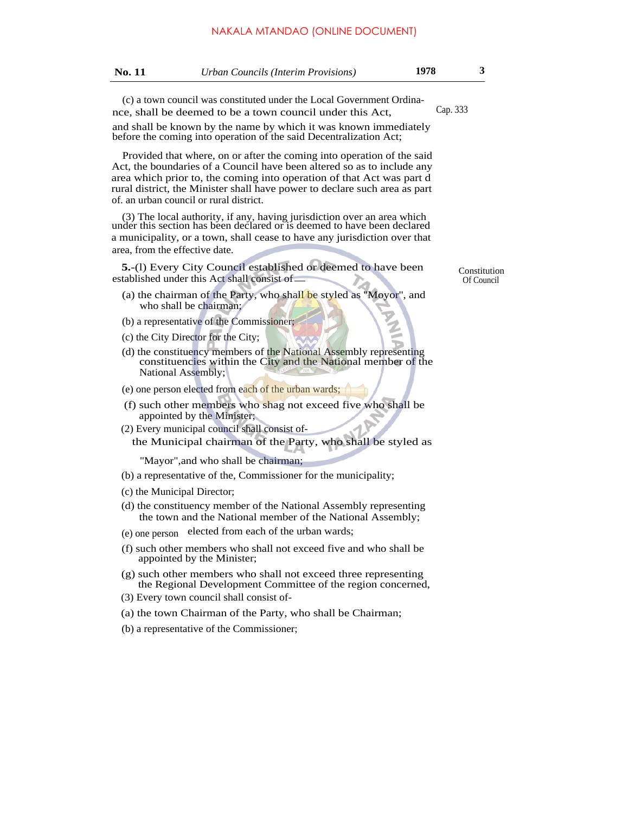| No. 11 | <i>Urban Councils (Interim Provisions)</i> | 1978 |  |
|--------|--------------------------------------------|------|--|
|        |                                            |      |  |

(c) a town council was constituted under the Local Government Ordinance, shall be deemed to be a town council under this Act, Cap. 333

and shall be known by the name by which it was known immediately before the coming into operation of the said Decentralization Act;

Provided that where, on or after the coming into operation of the said Act, the boundaries of a Council have been altered so as to include any area which prior to, the coming into operation of that Act was part d rural district, the Minister shall have power to declare such area as part of. an urban council or rural district.

(3) The local authority, if any, having jurisdiction over an area which under this section has been declared or is deemed to have been declared a municipality, or a town, shall cease to have any jurisdiction over that area, from the effective date.

**5.**-(l) Every City Council established or deemed to have been established under this Act shall consist of  $\sim$  Of Council

- (a) the chairman of the Party, who shall be styled as ''Moyor'', and who shall be chairman;
- (b) a representative of the Commissioner;
- (c) the City Director for the City;
- (d) the constituency members of the National Assembly representing constituencies within the City and the National member of the National Assembly;
- (e) one person elected from each of the urban wards;
- (f) such other members who shag not exceed five who shall be appointed by the Minister;
- (2) Every municipal council shall consist ofthe Municipal chairman of the Party, who shall be styled as

''Mayor",and who shall be chairman;

- (b) a representative of the, Commissioner for the municipality;
- (c) the Municipal Director;
- (d) the constituency member of the National Assembly representing the town and the National member of the National Assembly;
- (e) one person elected from each of the urban wards;
- (f) such other members who shall not exceed five and who shall be appointed by the Minister;
- (g) such other members who shall not exceed three representing the Regional Development Committee of the region concerned,
- (3) Every town council shall consist of-
- (a) the town Chairman of the Party, who shall be Chairman;
- (b) a representative of the Commissioner;

Constitution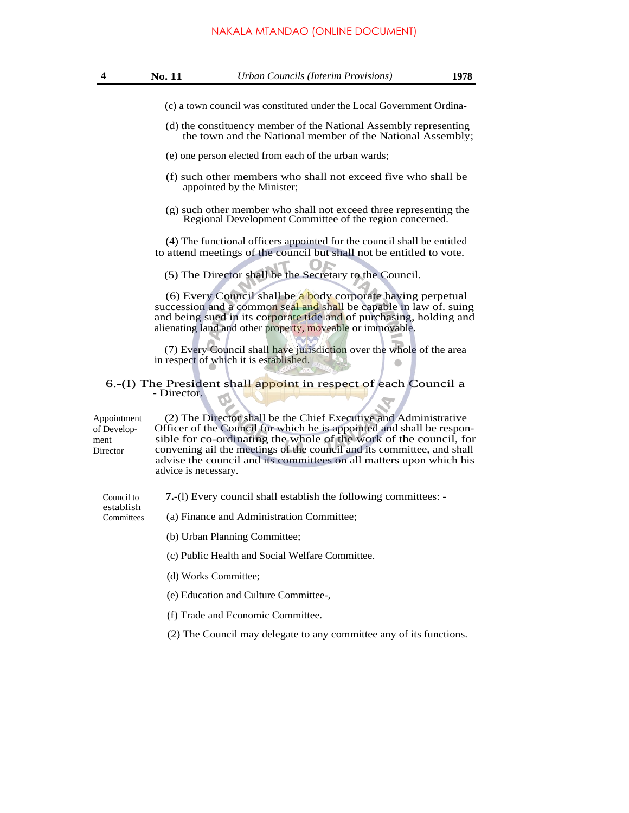# NAKALA MTANDAO (ONLINE DOCUMENT)

| 4                                              | No. 11<br><b>Urban Councils (Interim Provisions)</b><br>1978                                                                                                                                                                                                                                                                                                                            |  |  |  |  |
|------------------------------------------------|-----------------------------------------------------------------------------------------------------------------------------------------------------------------------------------------------------------------------------------------------------------------------------------------------------------------------------------------------------------------------------------------|--|--|--|--|
|                                                | (c) a town council was constituted under the Local Government Ordina-                                                                                                                                                                                                                                                                                                                   |  |  |  |  |
|                                                | (d) the constituency member of the National Assembly representing<br>the town and the National member of the National Assembly;                                                                                                                                                                                                                                                         |  |  |  |  |
|                                                | (e) one person elected from each of the urban wards;                                                                                                                                                                                                                                                                                                                                    |  |  |  |  |
|                                                | (f) such other members who shall not exceed five who shall be<br>appointed by the Minister;                                                                                                                                                                                                                                                                                             |  |  |  |  |
|                                                | (g) such other member who shall not exceed three representing the<br>Regional Development Committee of the region concerned.                                                                                                                                                                                                                                                            |  |  |  |  |
|                                                | (4) The functional officers appointed for the council shall be entitled<br>to attend meetings of the council but shall not be entitled to vote.                                                                                                                                                                                                                                         |  |  |  |  |
|                                                | (5) The Director shall be the Secretary to the Council.                                                                                                                                                                                                                                                                                                                                 |  |  |  |  |
|                                                | (6) Every Council shall be a body corporate having perpetual<br>succession and a common seal and shall be capable in law of. suing<br>and being sued in its corporate tide and of purchasing, holding and<br>alienating land and other property, moveable or immovable.                                                                                                                 |  |  |  |  |
|                                                | (7) Every Council shall have jurisdiction over the whole of the area<br>in respect of which it is established.                                                                                                                                                                                                                                                                          |  |  |  |  |
|                                                | 6.-(I) The President shall appoint in respect of each Council a<br>- Director.                                                                                                                                                                                                                                                                                                          |  |  |  |  |
| Appointment<br>of Develop-<br>ment<br>Director | (2) The Director shall be the Chief Executive and Administrative<br>Officer of the Council for which he is appointed and shall be respon-<br>sible for co-ordinating the whole of the work of the council, for<br>convening ail the meetings of the council and its committee, and shall<br>advise the council and its committees on all matters upon which his<br>advice is necessary. |  |  |  |  |
| Council to                                     | 7.-(1) Every council shall establish the following committees: -                                                                                                                                                                                                                                                                                                                        |  |  |  |  |
| establish<br>Committees                        | (a) Finance and Administration Committee;                                                                                                                                                                                                                                                                                                                                               |  |  |  |  |
|                                                | (b) Urban Planning Committee;                                                                                                                                                                                                                                                                                                                                                           |  |  |  |  |
|                                                | (c) Public Health and Social Welfare Committee.                                                                                                                                                                                                                                                                                                                                         |  |  |  |  |
|                                                | (d) Works Committee;                                                                                                                                                                                                                                                                                                                                                                    |  |  |  |  |
|                                                | (e) Education and Culture Committee-,                                                                                                                                                                                                                                                                                                                                                   |  |  |  |  |
|                                                | (f) Trade and Economic Committee.                                                                                                                                                                                                                                                                                                                                                       |  |  |  |  |
|                                                |                                                                                                                                                                                                                                                                                                                                                                                         |  |  |  |  |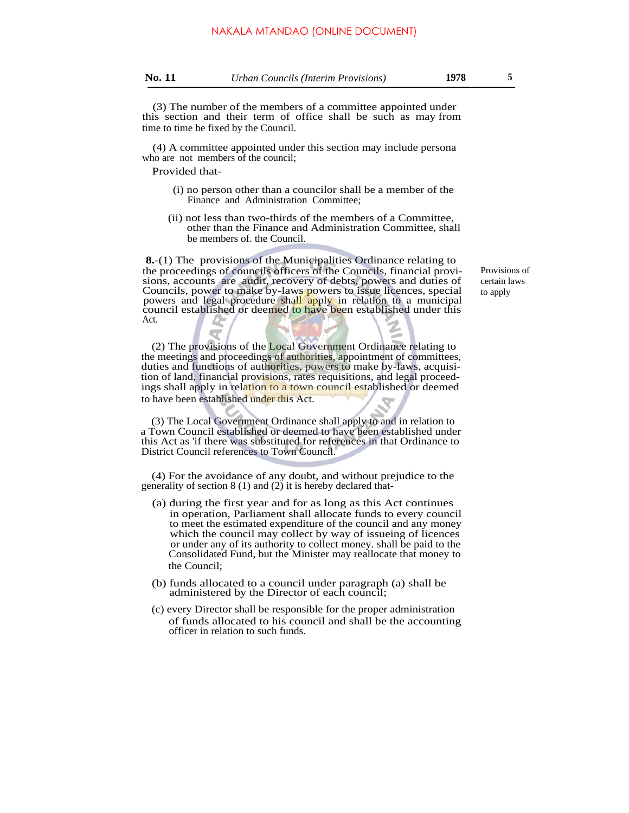(3) The number of the members of a committee appointed under this section and their term of office shall be such as may from time to time be fixed by the Council.

(4) A committee appointed under this section may include persona who are not members of the council;

Provided that-

- (i) no person other than a councilor shall be a member of the Finance and Administration Committee;
- (ii) not less than two-thirds of the members of a Committee, other than the Finance and Administration Committee, shall be members of. the Council.

**8.**-(1) The provisions of the Municipalities Ordinance relating to the proceedings of councils officers of the Councils, financial provisions, accounts are audit, recovery of debts, powers and duties of Councils, power to make by-laws powers to issue licences, special powers and legal procedure shall apply in relation to a municipal council established or deemed to have been established under this Act.

(2) The provisions of the Local Government Ordinance relating to the meetings and proceedings of authorities, appointment of committees, duties and functions of authorities, powers to make by-laws, acquisition of land, financial provisions, rates requisitions, and legal proceedings shall apply in relation to a town council established or deemed to have been established under this Act.

(3) The Local Government Ordinance shall apply to and in relation to a Town Council established or deemed to have been established under this Act as 'if there was substituted for references in that Ordinance to District Council references to Town Council.

(4) For the avoidance of any doubt, and without prejudice to the generality of section  $8(1)$  and  $(2)$  it is hereby declared that-

- (a) during the first year and for as long as this Act continues in operation, Parliament shall allocate funds to every council to meet the estimated expenditure of the council and any money which the council may collect by way of issueing of licences or under any of its authority to collect money. shall be paid to the Consolidated Fund, but the Minister may reallocate that money to the Council;
- (b) funds allocated to a council under paragraph (a) shall be administered by the Director of each council;
- (c) every Director shall be responsible for the proper administration of funds allocated to his council and shall be the accounting officer in relation to such funds.

Provisions of certain laws to apply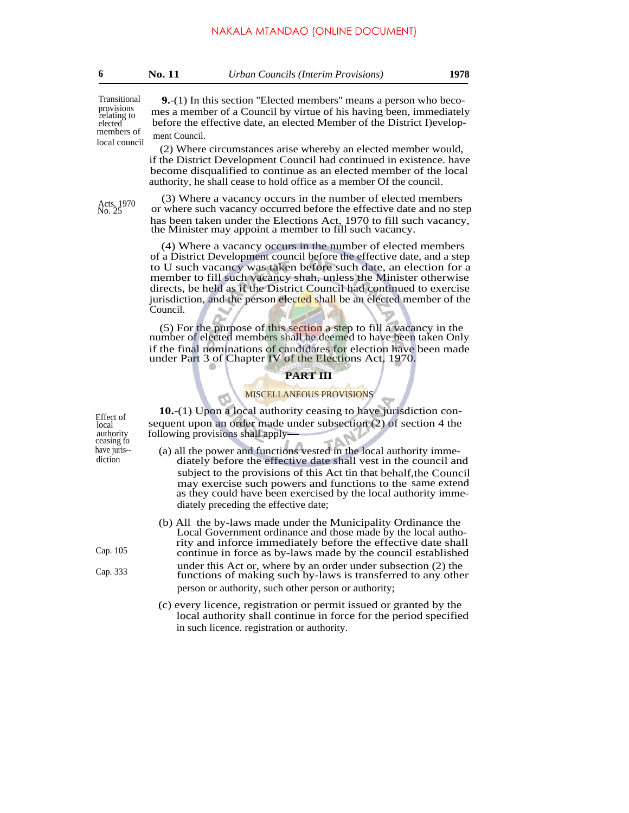| <b>No. 11</b><br>Urban Councils (Interim Provisions) | 1978 |
|------------------------------------------------------|------|
|------------------------------------------------------|------|

Transitional provisions relating to elected members of local council

**9.**-(1) In this section ''Elected members'' means a person who becomes a member of a Council by virtue of his having been, immediately before the effective date, an elected Member of the District I)evelopment Council.

(2) Where circumstances arise whereby an elected member would, if the District Development Council had continued in existence. have become disqualified to continue as an elected member of the local authority, he shall cease to hold office as a member Of the council.

Acts, 1970<br>No. 25

(3) Where a vacancy occurs in the number of elected members or where such vacancy occurred before the effective date and no step has been taken under the Elections Act, 1970 to fill such vacancy, the Minister may appoint a member to fill such vacancy.

(4) Where a vacancy occurs in the number of elected members of a District Development council before the effective date, and a step to U such vacancy was taken before such date, an election for a member to fill such vacancy shah, unless the Minister otherwise directs, be held as if the District Council had continued to exercise jurisdiction, and the person elected shall be an elected member of the Council.

(5) For the purpose of this section a step to fill a vacancy in the number of elected members shall be deemed to have been taken Only if the final nominations of candidates for election have been made under Part 3 of Chapter IV of the Elections Act, 1970.

### **PART III**

#### MISCELLANEOUS PROVISIONS

**10.**-(1) Upon a local authority ceasing to have jurisdiction con-<br>local sequent upon an order made under subsection (2) of section 4 the  $\frac{\text{total}}{\text{local}}$  sequent upon an order made under subsection (2) of section 4 the authority following provisions shall apply following provisions shall apply-

have juris-- (a) all the power and functions vested in the local authority immedicion diately before the effective date shall vest in the council and diately before the effective date shall vest in the council and subject to the provisions of this Act tin that behalf,the Council may exercise such powers and functions to the same extend as they could have been exercised by the local authority immediately preceding the effective date;

- (b) All the by-laws made under the Municipality Ordinance the Local Government ordinance and those made by the local authority and inforce immediately before the effective date shall Cap. 105 continue in force as by-laws made by the council established
- under this Act or, where by an order under subsection (2) the Cap. 333 functions of making such by-laws is transferred to any other person or authority, such other person or authority;
	- (c) every licence, registration or permit issued or granted by the local authority shall continue in force for the period specified in such licence. registration or authority.

ceasing to<br>have juris--